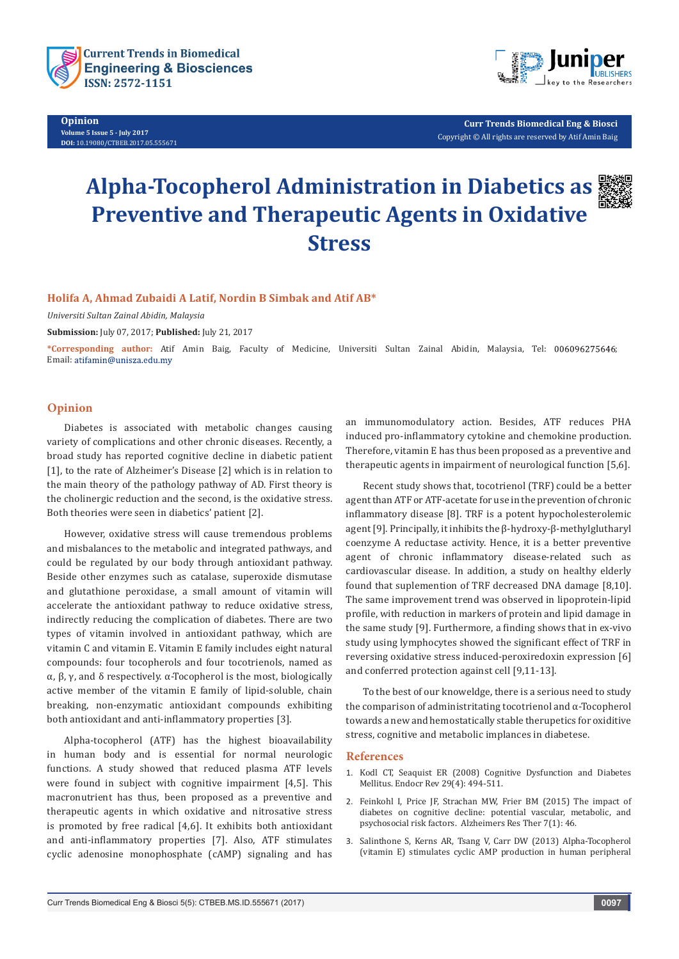



**Curr Trends Biomedical Eng & Biosci** Copyright © All rights are reserved by Atif Amin Baig

# **Alpha-Tocopherol Administration in Diabetics as Preventive and Therapeutic Agents in Oxidative Stress**



# **Holifa A, Ahmad Zubaidi A Latif, Nordin B Simbak and Atif AB\***

*Universiti Sultan Zainal Abidin, Malaysia*

**Submission:** July 07, 2017; **Published:** July 21, 2017

**\*Corresponding author:** Atif Amin Baig, Faculty of Medicine, Universiti Sultan Zainal Abidin, Malaysia, Tel: ; Email: atifamin@unisza.edu.my

# **Opinion**

Diabetes is associated with metabolic changes causing variety of complications and other chronic diseases. Recently, a broad study has reported cognitive decline in diabetic patient [1], to the rate of Alzheimer's Disease [2] which is in relation to the main theory of the pathology pathway of AD. First theory is the cholinergic reduction and the second, is the oxidative stress. Both theories were seen in diabetics' patient [2].

However, oxidative stress will cause tremendous problems and misbalances to the metabolic and integrated pathways, and could be regulated by our body through antioxidant pathway. Beside other enzymes such as catalase, superoxide dismutase and glutathione peroxidase, a small amount of vitamin will accelerate the antioxidant pathway to reduce oxidative stress, indirectly reducing the complication of diabetes. There are two types of vitamin involved in antioxidant pathway, which are vitamin C and vitamin E. Vitamin E family includes eight natural compounds: four tocopherols and four tocotrienols, named as α, β, γ, and δ respectively. α-Tocopherol is the most, biologically active member of the vitamin E family of lipid-soluble, chain breaking, non-enzymatic antioxidant compounds exhibiting both antioxidant and anti-inflammatory properties [3].

Alpha-tocopherol (ATF) has the highest bioavailability in human body and is essential for normal neurologic functions. A study showed that reduced plasma ATF levels were found in subject with cognitive impairment [4,5]. This macronutrient has thus, been proposed as a preventive and therapeutic agents in which oxidative and nitrosative stress is promoted by free radical [4,6]. It exhibits both antioxidant and anti-inflammatory properties [7]. Also, ATF stimulates cyclic adenosine monophosphate (cAMP) signaling and has

an immunomodulatory action. Besides, ATF reduces PHA induced pro-inflammatory cytokine and chemokine production. Therefore, vitamin E has thus been proposed as a preventive and therapeutic agents in impairment of neurological function [5,6].

Recent study shows that, tocotrienol (TRF) could be a better agent than ATF or ATF-acetate for use in the prevention of chronic inflammatory disease [8]. TRF is a potent hypocholesterolemic agent [9]. Principally, it inhibits the β-hydroxy-β-methylglutharyl coenzyme A reductase activity. Hence, it is a better preventive agent of chronic inflammatory disease-related such as cardiovascular disease. In addition, a study on healthy elderly found that suplemention of TRF decreased DNA damage [8,10]. The same improvement trend was observed in lipoprotein-lipid profile, with reduction in markers of protein and lipid damage in the same study [9]. Furthermore, a finding shows that in ex-vivo study using lymphocytes showed the significant effect of TRF in reversing oxidative stress induced-peroxiredoxin expression [6] and conferred protection against cell [9,11-13].

To the best of our knoweldge, there is a serious need to study the comparison of administritating tocotrienol and α-Tocopherol towards a new and hemostatically stable therupetics for oxiditive stress, cognitive and metabolic implances in diabetese.

#### **References**

- 1. [Kodl CT, Seaquist ER \(2008\) Cognitive Dysfunction and Diabetes](https://www.ncbi.nlm.nih.gov/pubmed/18436709)  Mellitus. [Endocr Rev 29\(4\): 494-511.](https://www.ncbi.nlm.nih.gov/pubmed/18436709)
- 2. [Feinkohl I, Price JF, Strachan MW, Frier BM \(2015\) The impact of](https://www.ncbi.nlm.nih.gov/pubmed/26060511)  [diabetes on cognitive decline: potential vascular, metabolic, and](https://www.ncbi.nlm.nih.gov/pubmed/26060511)  [psychosocial risk factors. Alzheimers Res Ther 7\(1\): 46.](https://www.ncbi.nlm.nih.gov/pubmed/26060511)
- 3. [Salinthone S, Kerns AR, Tsang V, Carr DW \(2013\) Alpha-Tocopherol](https://www.ncbi.nlm.nih.gov/pubmed/22947771)  [\(vitamin E\) stimulates cyclic AMP production in human peripheral](https://www.ncbi.nlm.nih.gov/pubmed/22947771)